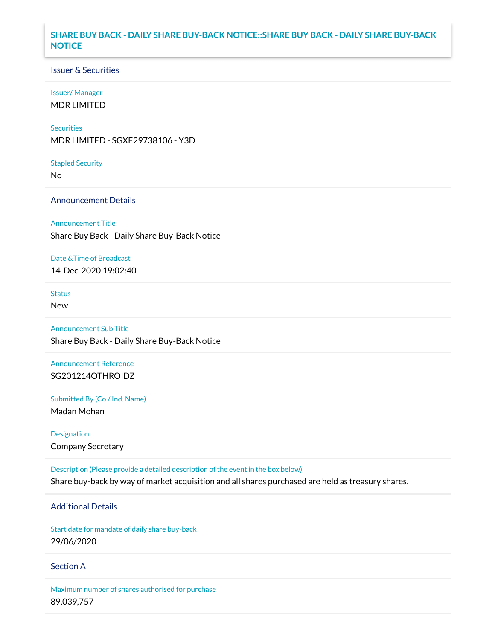## **SHARE BUY BACK - DAILY SHARE BUY-BACK NOTICE::SHARE BUY BACK - DAILY SHARE BUY-BACK NOTICE**

### Issuer & Securities

### Issuer/ Manager

MDR LIMITED

### **Securities**

MDR LIMITED - SGXE29738106 - Y3D

#### Stapled Security

No

### Announcement Details

Announcement Title

Share Buy Back - Daily Share Buy-Back Notice

### Date &Time of Broadcast

14-Dec-2020 19:02:40

## Status

New

# Announcement Sub Title

Share Buy Back - Daily Share Buy-Back Notice

## Announcement Reference SG201214OTHROIDZ

Submitted By (Co./ Ind. Name)

Madan Mohan

Designation Company Secretary

Description (Please provide a detailed description of the event in the box below) Share buy-back by way of market acquisition and all shares purchased are held as treasury shares.

## Additional Details

Start date for mandate of daily share buy-back 29/06/2020

### Section A

Maximum number of shares authorised for purchase 89,039,757